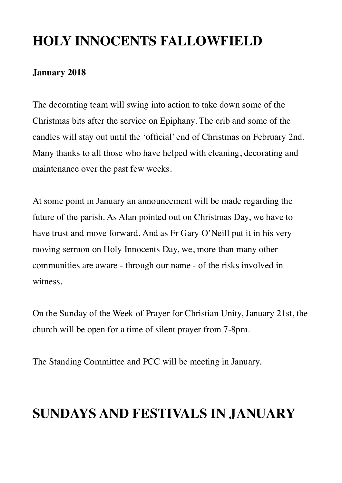# **HOLY INNOCENTS FALLOWFIELD**

### **January 2018**

The decorating team will swing into action to take down some of the Christmas bits after the service on Epiphany. The crib and some of the candles will stay out until the 'official' end of Christmas on February 2nd. Many thanks to all those who have helped with cleaning, decorating and maintenance over the past few weeks.

At some point in January an announcement will be made regarding the future of the parish. As Alan pointed out on Christmas Day, we have to have trust and move forward. And as Fr Gary O'Neill put it in his very moving sermon on Holy Innocents Day, we, more than many other communities are aware - through our name - of the risks involved in witness.

On the Sunday of the Week of Prayer for Christian Unity, January 21st, the church will be open for a time of silent prayer from 7-8pm.

The Standing Committee and PCC will be meeting in January.

## **SUNDAYS AND FESTIVALS IN JANUARY**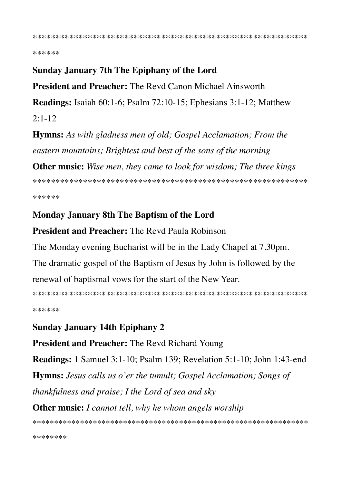\*\*\*\*\*\*

#### **Sunday January 7th The Epiphany of the Lord**

**President and Preacher:** The Revd Canon Michael Ainsworth

**Readings:** Isaiah  $60:1-6$ ; Psalm  $72:10-15$ ; Ephesians  $3:1-12$ ; Matthew

 $2:1-12$ 

**Hymns:** As with gladness men of old; Gospel Acclamation; From the eastern mountains; Brightest and best of the sons of the morning

**Other music:** Wise men, they came to look for wisdom; The three kings

\*\*\*\*\*\*

#### **Monday January 8th The Baptism of the Lord**

**President and Preacher:** The Revd Paula Robinson

The Monday evening Eucharist will be in the Lady Chapel at 7.30pm.

The dramatic gospel of the Baptism of Jesus by John is followed by the

renewal of baptismal vows for the start of the New Year.

\*\*\*\*\*\*

#### **Sunday January 14th Epiphany 2**

**President and Preacher: The Revd Richard Young** 

**Readings:** 1 Samuel 3:1-10; Psalm 139; Revelation 5:1-10; John 1:43-end **Hymns:** Jesus calls us o'er the tumult; Gospel Acclamation; Songs of thankfulness and praise; I the Lord of sea and sky **Other music:** I cannot tell, why he whom angels worship

\*\*\*\*\*\*\*\*